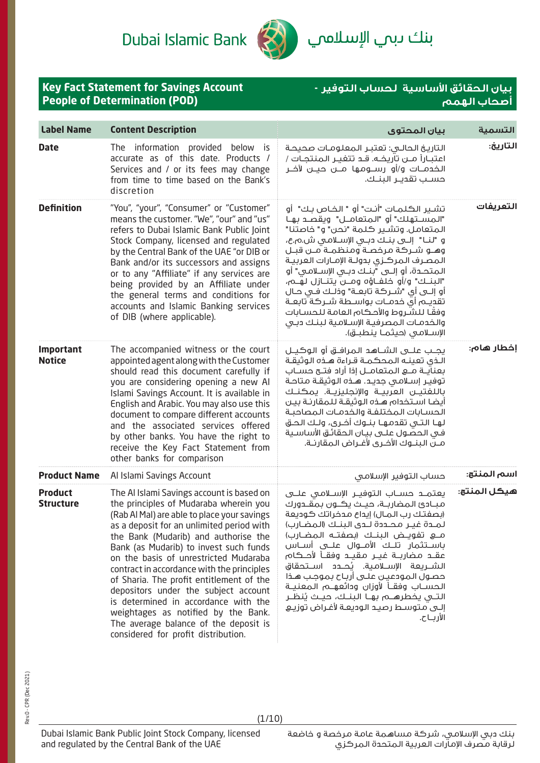Dubai Islamic Bank

**Key Fact Statement for Savings Account** 



بنك ىبىي ال<mark>إسلامي</mark>

**بيان الحقائق اساسية لحساب التوفير -**

|                                    | <b>People of Determination (POD)</b>                                                                                                                                                                                                                                                                                                                                                                                                                                                                                                                                 |                                                                                                                                                                                                                                                                                                                                                                                                                                                                                                                                                                                                         | <u></u><br>أصحاب الهمم |
|------------------------------------|----------------------------------------------------------------------------------------------------------------------------------------------------------------------------------------------------------------------------------------------------------------------------------------------------------------------------------------------------------------------------------------------------------------------------------------------------------------------------------------------------------------------------------------------------------------------|---------------------------------------------------------------------------------------------------------------------------------------------------------------------------------------------------------------------------------------------------------------------------------------------------------------------------------------------------------------------------------------------------------------------------------------------------------------------------------------------------------------------------------------------------------------------------------------------------------|------------------------|
| <b>Label Name</b>                  | <b>Content Description</b>                                                                                                                                                                                                                                                                                                                                                                                                                                                                                                                                           | بيان المحتوى                                                                                                                                                                                                                                                                                                                                                                                                                                                                                                                                                                                            | التسمية                |
| <b>Date</b>                        | The information provided below<br>is.<br>accurate as of this date. Products /<br>Services and / or its fees may change<br>from time to time based on the Bank's<br>discretion                                                                                                                                                                                                                                                                                                                                                                                        | التاريخ الحالـى: تعتبـر المعلومـات صحيحـة<br>اعتبــاراً مـــن تآريـــــه. قــــــ تتغيـــر الـمـنـتجـــات /<br>الخدمــات و/أو رســـومـها مـــن حيـــن لآخــر<br>حسـب تقديـر الـبنـك.                                                                                                                                                                                                                                                                                                                                                                                                                    | التاريخ:               |
| <b>Definition</b>                  | "You", "your", "Consumer" or "Customer"<br>means the customer. "We", "our" and "us"<br>refers to Dubai Islamic Bank Public Joint<br>Stock Company, licensed and regulated<br>by the Central Bank of the UAE "or DIB or<br>Bank and/or its successors and assigns<br>or to any "Affiliate" if any services are<br>being provided by an Affiliate under<br>the general terms and conditions for<br>accounts and Islamic Banking services<br>of DIB (where applicable).                                                                                                 | تشـير الـكـلمـات "أنـت" أو " الـفـاص بـك"  أو<br>"المسـتهلك" أو "المتعامــل" ويقصــد بهـا<br>المتعامل. وتشير كلمة "نحن" و" خاصتنا"<br>و "لنــا"  إلــــى بنــك دبـــى الإســـلامـــى ش.م.ع،<br>وهــو شــركة مرخصـة ومنظمــة مــن قبــل<br>المصرف المركزى بدولـة الإمـارات العربيـة<br>المتحــدة، أو إلـــى "بنــك دبــى الإســلامـى" أو<br>"البنــك" و/أو خلفــاؤه ومــن يتنــازل لهَــم،<br>أو إلـــى أى "شـــركــة تابـعــة" وذلــك فــى حــال<br>تقديـم أي خدمـات بواسـطة شـركة تابعـة<br>وفقًا للشروط والأحكام العامة للحسابات<br>والخدمات المصرفية الإسلامية لبنك دبى<br>الإسلامي (حيثمـا ينطبـق). | التعريفات              |
| <b>Important</b><br><b>Notice</b>  | The accompanied witness or the court<br>appointed agent along with the Customer<br>should read this document carefully if<br>you are considering opening a new Al<br>Islami Savings Account. It is available in<br>English and Arabic. You may also use this<br>document to compare different accounts<br>and the associated services offered<br>by other banks. You have the right to<br>receive the Key Fact Statement from<br>other banks for comparison                                                                                                          | الـذي تعينــه الـمحكـمــة قـراءة هــذه الـوثيقــة<br>توفيـر إسـلامـى جديـد. هــذه الـوثيقــة مـتاحــة<br>باللغتيــن العربيــة والإنجليزيــة. يمكنــك<br>أيضا استخداه هـذه الوثيقـة للمقارنـة بيـن<br>الحسابات المختلفة والخدمات المصاحبة<br>لهـا الـتـي تقدمهـا بنــوك أخـرى، ولـك الـحـق<br>فى الحصول علـى بيـان الحقائـق الأساسـية<br>مـنَ البنــوك الأخـرى لأغــراض المقارنــة.                                                                                                                                                                                                                      | إخطار هام:             |
| <b>Product Name</b>                | Al Islami Savings Account                                                                                                                                                                                                                                                                                                                                                                                                                                                                                                                                            | حساب التوفير الإسلامى                                                                                                                                                                                                                                                                                                                                                                                                                                                                                                                                                                                   | اسم المنتج:            |
| <b>Product</b><br><b>Structure</b> | The AI Islami Savings account is based on<br>the principles of Mudaraba wherein you<br>(Rab Al Mal) are able to place your savings<br>as a deposit for an unlimited period with<br>the Bank (Mudarib) and authorise the<br>Bank (as Mudarib) to invest such funds<br>on the basis of unrestricted Mudaraba<br>contract in accordance with the principles<br>of Sharia. The profit entitlement of the<br>depositors under the subject account<br>is determined in accordance with the<br>weightages as notified by the Bank.<br>The average balance of the deposit is | مبـادئ المضاربــة، حيــث يكــون بمقــدورك<br>(بصفتك رب المـال) إيداع مدخراتك كوديعة<br>لمدة غيـر محـددة لـدى البنـك (المضـارب)<br>باســتثمار  تلــك  الأمــوال  علـــى  أســاس<br>عقــد مضاربــة غيــر مقيــد وفقــأ لأحــڪام<br>الشــــريعة الإســـلامـية. يُحـــدد اســـتحقاق<br>حصول المودعين علـى أربـاح بموجـب هـذا<br>الحســاب وفقــأ اأوزان ودائعهـــم الـمعنيــة<br>التـــى يخطرهـــــم بهـــا الـبنـــك، حيــث يُنظــر<br>إلـى متوسط رصيد الوديعـة لأغـراض توزيـع<br>الأربــاح.                                                                                                                | هيكل المنتج:           |

considered for profit distribution.

(1/10)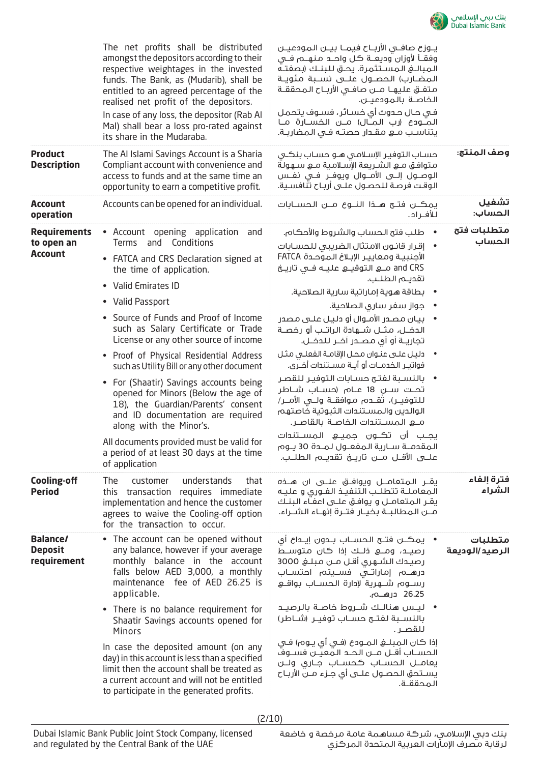

|                                                     | The net profits shall be distributed<br>amongst the depositors according to their<br>respective weightages in the invested<br>funds. The Bank, as (Mudarib), shall be<br>entitled to an agreed percentage of the<br>realised net profit of the depositors.<br>In case of any loss, the depositor (Rab Al<br>Mal) shall bear a loss pro-rated against<br>its share in the Mudaraba.                                                                                                                                                                                                                                                                                                                           | يـوزع صافـى الأربـاح فيمـا بيــن المودعيــن<br>وفقــأ لأوزان وديعــة كـل واحــد مـنـهـــم فــي<br>المضـارب) الحصــول علـــى نســبة مئويــة<br>متفــق عليهــا مــن صافــي الأربــاح الـمحققــة<br>الخاصــة بالـمـودعيــن.<br>في حال حدوث أي خسائر، فسوف يتحمل<br>المـودع (رب المـال) مـن الخسـارة مـا<br>يتناسب مــــو مقــدار حصتــه فـــى الـمضاربــة.                                                                                                                                                                                                                                                                                                                                                                                                                      |                           |
|-----------------------------------------------------|--------------------------------------------------------------------------------------------------------------------------------------------------------------------------------------------------------------------------------------------------------------------------------------------------------------------------------------------------------------------------------------------------------------------------------------------------------------------------------------------------------------------------------------------------------------------------------------------------------------------------------------------------------------------------------------------------------------|------------------------------------------------------------------------------------------------------------------------------------------------------------------------------------------------------------------------------------------------------------------------------------------------------------------------------------------------------------------------------------------------------------------------------------------------------------------------------------------------------------------------------------------------------------------------------------------------------------------------------------------------------------------------------------------------------------------------------------------------------------------------------|---------------------------|
| <b>Product</b><br><b>Description</b>                | The AI Islami Savings Account is a Sharia<br>Compliant account with convenience and<br>access to funds and at the same time an<br>opportunity to earn a competitive profit.                                                                                                                                                                                                                                                                                                                                                                                                                                                                                                                                  | حساب التوفير الإسلامي هـو حسـاب بنكـي<br>متوافق مـع الشـريعة الإسلامية مـع سـهولة<br>الوصــول إلـــى الأمـــوال ويوفــر فــى نفــس<br>الوقت فرصة للحصول علـى أربـاح تنافسـية.                                                                                                                                                                                                                                                                                                                                                                                                                                                                                                                                                                                                | وصف المنتج:               |
| <b>Account</b><br>operation                         | Accounts can be opened for an individual.                                                                                                                                                                                                                                                                                                                                                                                                                                                                                                                                                                                                                                                                    | يمكـــن فتـــح هــــخا النــــوع مــــن الـحســــابات<br>للأفـراد.                                                                                                                                                                                                                                                                                                                                                                                                                                                                                                                                                                                                                                                                                                           | تشفيل<br>الحساب:          |
| <b>Requirements</b><br>to open an<br><b>Account</b> | • Account opening application<br>and<br>Conditions<br><b>Terms</b><br>and<br>• FATCA and CRS Declaration signed at<br>the time of application.<br>• Valid Emirates ID<br>• Valid Passport<br>• Source of Funds and Proof of Income<br>such as Salary Certificate or Trade<br>License or any other source of income<br>• Proof of Physical Residential Address<br>such as Utility Bill or any other document<br>• For (Shaatir) Savings accounts being<br>opened for Minors (Below the age of<br>18), the Guardian/Parents' consent<br>and ID documentation are required<br>along with the Minor's.<br>All documents provided must be valid for<br>a period of at least 30 days at the time<br>of application | طلب فتح الحساب والشروط والأحكام.<br>• إقرار قانون الامتثال الضريبى للحسابات<br>الأجنبية ومعايير الإبلاغ الموحدة FATCA<br>تقديـم الطلـب.<br>• بطاقة هوية إماراتية سارية الصلاحية.<br>• جواز سفر ساري الصلاحية.<br>•     بيان مصدر الأمـوال أو دليـل علــى مصدر<br>الدخــل، مـثــل شـــهادة الـراتــب أو رخصــة<br>تجاريــة أو أي مصــدر آخــر لـلـدخــل.<br>• دليل على عنوان محل الإقامة الفعلى مثل<br>فواتيـر الــفـــــوت أو أيـــة مـســـتنـــدات أخـــرى.<br>• بالنسبة لفتح حسابات التوفير للقصر<br>تحـت ســن 18 عــام (حســاب شــاطر<br>للتوفيــر)، تقـــدم مـوافقــة ولـــى الأمـــر/<br>الوالدين والمستندات الثبوتية خاصتهم<br>يجــب أن تڪــون جميـــع الـمســتنـدات<br>المقدمـة سـارية المفعـول لمـدة 30 يـوم<br>علـــى الأقـــل مــــن تاريــــخ تقديـــم الـطلـــب. | متطلبات فتح<br>الحساب     |
| <b>Cooling-off</b><br><b>Period</b>                 | customer<br>understands<br>The<br>that<br>this transaction requires immediate<br>implementation and hence the customer<br>agrees to waive the Cooling-off option<br>for the transaction to occur.                                                                                                                                                                                                                                                                                                                                                                                                                                                                                                            | يقــر الـمـتعامـــل ويوافـــق علــــى ان هــــذه<br>المعاملــة تتطلـب التنفيــذ الفــورى و عليـه<br>يقـر المتعامــل و يوافــق علـــى اعفــاء الـبنــك<br>مــن المطالبــة بخيــار فتــرة إنهــاء الشــراء.                                                                                                                                                                                                                                                                                                                                                                                                                                                                                                                                                                    | فترة إلفاء<br>الشراء      |
| <b>Balance/</b><br><b>Deposit</b><br>requirement    | • The account can be opened without<br>any balance, however if your average<br>monthly balance in the account<br>falls below AED 3,000, a monthly<br>maintenance fee of AED 26.25 is<br>applicable.<br>• There is no balance requirement for<br>Shaatir Savings accounts opened for<br><b>Minors</b><br>In case the deposited amount (on any<br>day) in this account is less than a specified<br>limit then the account shall be treated as<br>a current account and will not be entitled<br>to participate in the generated profits.                                                                                                                                                                        | •   يمڪــن فتــح الـحســاب بـــدون إيـــداع أي<br>رصيـد، ومـــع ذلــك إذا كان متوســط<br>رصيدك الشهرى أقل مـن مبلـغ 3000<br>درهــــم إماراتـــى فســـيتم احتســـاب<br>رســـوم شــــهـرية لإدارة الـحســـاب بـواقـــع<br>26.25 درهـــم.<br>• ليـس هنالـك شــروط خاصـة بالرصيــد<br>بالنسـبة لفتــــ مســاب توفيـــر (شـــاطر)<br>للقصر .<br>الحســاب أقــل مــن الحــد الـمَعيّــن فســوفّ<br>يعامــل الحســاب كحســاب جــارى ولـــن<br>يسـتحق الحصـول علــى أى جـزء مــن الأربـاح<br>المحققــة.                                                                                                                                                                                                                                                                              | متطلبات<br>الرصيد/الوديعة |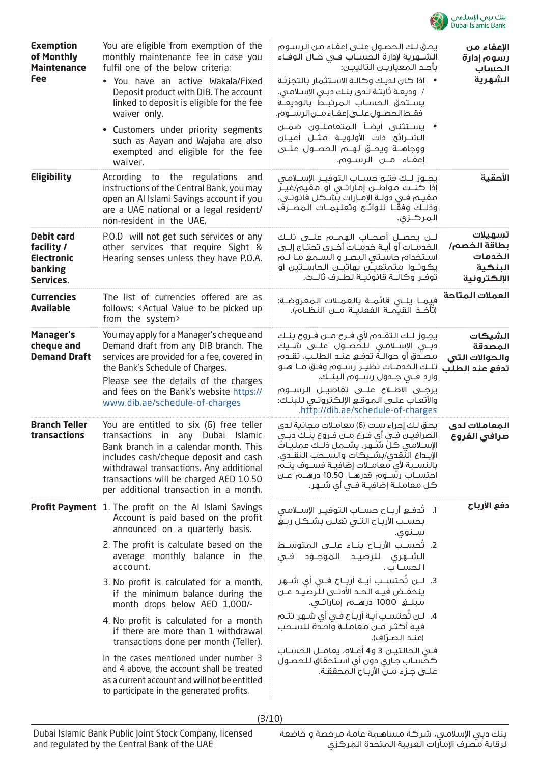

| <b>Exemption</b><br>of Monthly<br><b>Maintenance</b><br><b>Fee</b>           | You are eligible from exemption of the<br>monthly maintenance fee in case you<br>fulfil one of the below criteria:<br>. You have an active Wakala/Fixed<br>Deposit product with DIB. The account<br>linked to deposit is eligible for the fee<br>waiver only.<br>• Customers under priority segments<br>such as Aayan and Wajaha are also<br>exempted and eligible for the fee<br>waiver.                                                                                                                                                                                                                                                                     | يحق لك الحصول علـى إعفـاء من الرسـوم<br>الشـــهرية لإدارة الـحســـاب فـــى حــال الـوفــاء<br>بأحد المعياريـن التالييـن:<br>•     إذا كان لديك وكالـة الاسـتثمار بالتجزئـة<br>/ وديعة ثابتة لـدى بنـك دبـى الإسلامـى.<br>يســتحق الحســاب المرتبــط بالوديعــة<br>فقـطالحصـول علــى إعفـاء مــن الرســوم.<br>• يســتثنى أيضــأ الـمتعامـلـــون ضمــن<br>الشـــرائح ذات الأولـويــة مـثـــل أعيــان<br>ووجاهـــة ويحـــق لـهـــم الـحصـــول علــــى<br>إعفـاء مــن الرســوم.                                                                                                        | الإعفاء من<br>رسوم إدارة<br>الحساب<br>الشهرية                |
|------------------------------------------------------------------------------|---------------------------------------------------------------------------------------------------------------------------------------------------------------------------------------------------------------------------------------------------------------------------------------------------------------------------------------------------------------------------------------------------------------------------------------------------------------------------------------------------------------------------------------------------------------------------------------------------------------------------------------------------------------|------------------------------------------------------------------------------------------------------------------------------------------------------------------------------------------------------------------------------------------------------------------------------------------------------------------------------------------------------------------------------------------------------------------------------------------------------------------------------------------------------------------------------------------------------------------------------------|--------------------------------------------------------------|
| <b>Eligibility</b>                                                           | According to the regulations and<br>instructions of the Central Bank, you may<br>open an Al Islami Savings account if you<br>are a UAE national or a legal resident/<br>non-resident in the UAE,                                                                                                                                                                                                                                                                                                                                                                                                                                                              | يجـــوز لـــك فتــــح حســـاب الـتوفيـــر الإســــلامــى<br>إذا كنــت مـواطــن إمـاراتــي أو مـقيم/غيــر<br>مقيـم فـي دولـة الإمـارات بتثنـكل قانونـي،<br>وذلــك وفقّــا للـوائــح وتعليمــات الـمصــرفَ<br>المركـزى.                                                                                                                                                                                                                                                                                                                                                              | الأحقية                                                      |
| <b>Debit card</b><br>facility /<br><b>Electronic</b><br>banking<br>Services. | P.O.D will not get such services or any<br>other services that require Sight &<br>Hearing senses unless they have P.O.A.                                                                                                                                                                                                                                                                                                                                                                                                                                                                                                                                      | لــن يحصــل أصحــاب الـهمـــم علـــى تلــك<br>الخدمــات أو أيــة خدمــات أخــرى تحتــاج إلـــى<br>استخدام حاستی البصر و السمع ما لـم<br>يڪوڻــوا مـتمـتعيـــن بـهاتيـــن الحاســـتين او<br>توفـر وكالــة قانونيــة لطـرف ثالــث.                                                                                                                                                                                                                                                                                                                                                   | تسهيلات<br>بطاقة الخصم/<br>الخدمات<br>البنكية<br>الإلكترونية |
| <b>Currencies</b><br><b>Available</b>                                        | The list of currencies offered are as<br>follows: < Actual Value to be picked up<br>from the system>                                                                                                                                                                                                                                                                                                                                                                                                                                                                                                                                                          | فِيمـا يلـــى قائمــة بالعمــلات المعروضـة:<br>(تأخـــذ الـقـيمـــة الـفعـلـيــة مــــن الـنـظــام).                                                                                                                                                                                                                                                                                                                                                                                                                                                                               | العملات المتاحة                                              |
| <b>Manager's</b><br>cheque and<br><b>Demand Draft</b>                        | You may apply for a Manager's cheque and<br>Demand draft from any DIB branch. The<br>services are provided for a fee, covered in<br>the Bank's Schedule of Charges.<br>Please see the details of the charges<br>and fees on the Bank's website https://<br>www.dib.ae/schedule-of-charges                                                                                                                                                                                                                                                                                                                                                                     | يجــوز لــك الـتقــدم لأى فــرع مــن فــروع بنــك<br>دبــى الإســـلامـى للـحصــول علـــى شــيك<br>مصـُدق أو حوالــة تدفــع عنــد الـطلــب. تقــده،<br>تلك الخدمـات نظيـر رسـوم وفـق مـا هـو<br>وارد فــى جــدول رســوم الـبنــك.<br>يرجــى الاطــلاع علـــى تفاصيــل الـرســـوم<br>والأتعاب علـى الـموقـع الإلكـترونـى لـلبنـك:<br>.http://dib.ae/schedule-of-charges                                                                                                                                                                                                              | الشيكات<br>المصدقة<br>والحوالات التى<br>تدفع عند الطلب       |
| <b>Branch Teller</b><br>transactions                                         | You are entitled to six (6) free teller<br>transactions in any Dubai Islamic<br>Bank branch in a calendar month. This<br>includes cash/cheque deposit and cash<br>withdrawal transactions. Any additional<br>transactions will be charged AED 10.50<br>per additional transaction in a month.                                                                                                                                                                                                                                                                                                                                                                 | يحق لك إجراء ست (6) معامـلات مجانية لدى<br>الصرافيــن فــى أى فــرع مــن فــروع بنــك دبــى<br>الإســلامـى كـل شــهر. يشــمل ذلـك عمليـات<br>الإيـــداع النّـقدي/بشـــيكات والـســـحب الـنـقـــدى.<br>بالنسـبة لأى معامــلات إضافيــة فســوف يتــمَ<br>احتســاب رسّــوہ قدرهــا 10.50 درهـــم عــن<br>كل معاملــة إضافيــة فــي أي شــهر.                                                                                                                                                                                                                                          | المعاملات لدى<br>صرافي الفروع                                |
|                                                                              | <b>Profit Payment</b> 1. The profit on the Al Islami Savings<br>Account is paid based on the profit<br>announced on a quarterly basis.<br>2. The profit is calculate based on the<br>average monthly balance in the<br>account.<br>3. No profit is calculated for a month,<br>if the minimum balance during the<br>month drops below AED 1,000/-<br>4. No profit is calculated for a month<br>if there are more than 1 withdrawal<br>transactions done per month (Teller).<br>In the cases mentioned under number 3<br>and 4 above, the account shall be treated<br>as a current account and will not be entitled<br>to participate in the generated profits. | 1.     تُدفـــع  أربـــاح  حســـاب الـتوفيـــر  الإســـلامــى<br>بحسب الأرباح التى تعلـن بشـكل ربـع<br>سـنوی.<br>2.  تحســب الأربــاح بنـــاء علـــى الـمـتوســـط<br>الشـــهرى للرصيـــد الـمـوجـــود فــى<br>الحساب.<br>3.  لــــن تُحتســـب أيـــة أربـــاح فـــى أي شــــهـر<br>ينخفـض فيــه الـحـد الأدنــى لـلرصيــد عــن<br>4.   لـن تُحتسـب أيـة أربـاح فـى أى شـهر تتـم<br>فيه أكثر مـن معاملـة واحدة للسـحب<br>(عنـد الصـرّاف).<br>فـى الـحالـتيــن 3 و4 أعــلاه، يعامــل الـحســاب<br>كحسـاب جـارى دون أى اسـتحقاق لـلحصـول<br>علـــى جــزء مــنّ الأربــاح آلـمـحققــة. | دفع الأرباح                                                  |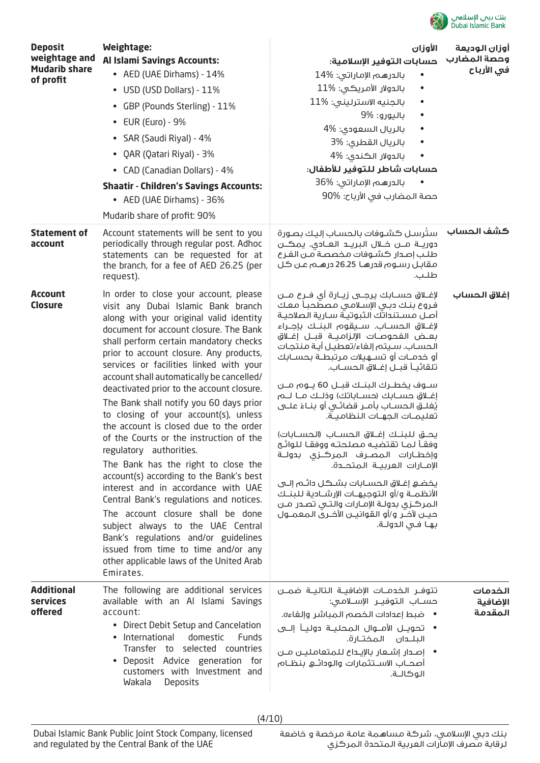

| <b>Deposit</b><br>weightage and<br><b>Mudarib share</b><br>of profit | <b>Weightage:</b><br><b>Al Islami Savings Accounts:</b><br>• AED (UAE Dirhams) - 14%<br>• USD (USD Dollars) - 11%<br>• GBP (Pounds Sterling) - 11%<br>• EUR (Euro) - 9%<br>• SAR (Saudi Riyal) - 4%<br>• QAR (Qatari Riyal) - 3%<br>• CAD (Canadian Dollars) - 4%<br><b>Shaatir - Children's Savings Accounts:</b><br>• AED (UAE Dirhams) - 36%<br>Mudarib share of profit: 90%                                                                                                                                                                                                                                                                                                                                                                                                                                                                                                                                                                                                        | الأوزان<br>حسابات التوفير الإسلامية:<br>بالدرهم الإماراتي: 14%<br>بالدولار الأمريكي: 11%<br>بالجنيه الاسترلينى: 11%<br>باليورو: 9%<br>بالريال السعودي: %4<br>بالريال القطرى: %3<br>بالدولار الكندى: 4%<br>حسابات شاطر للتوفير للأطفال:<br>بالدرهم الإماراتي: %36<br>حصة المضارب في الأرباح: %90                                                                                                                                                                                                                                                                                                                                                                                                                                                                                                                                                                                                                                               | أوزان الوديعة<br>وحصة المضارب<br>في الأرباح |
|----------------------------------------------------------------------|----------------------------------------------------------------------------------------------------------------------------------------------------------------------------------------------------------------------------------------------------------------------------------------------------------------------------------------------------------------------------------------------------------------------------------------------------------------------------------------------------------------------------------------------------------------------------------------------------------------------------------------------------------------------------------------------------------------------------------------------------------------------------------------------------------------------------------------------------------------------------------------------------------------------------------------------------------------------------------------|-----------------------------------------------------------------------------------------------------------------------------------------------------------------------------------------------------------------------------------------------------------------------------------------------------------------------------------------------------------------------------------------------------------------------------------------------------------------------------------------------------------------------------------------------------------------------------------------------------------------------------------------------------------------------------------------------------------------------------------------------------------------------------------------------------------------------------------------------------------------------------------------------------------------------------------------------|---------------------------------------------|
| <b>Statement of</b><br>account                                       | Account statements will be sent to you<br>periodically through regular post. Adhoc<br>statements can be requested for at<br>the branch, for a fee of AED 26.25 (per<br>request).                                                                                                                                                                                                                                                                                                                                                                                                                                                                                                                                                                                                                                                                                                                                                                                                       | سترسل كشوفات بالحساب إليك بصورة<br>دوريــة مـــن خــلال البريــد العــادي. يمكــن<br>طلب إصدار كشوفات مخصصة مـن الفـرع<br>مقابـل رسـوم قدرهـا 26.25 درهـم عـن كـل<br>طلب.                                                                                                                                                                                                                                                                                                                                                                                                                                                                                                                                                                                                                                                                                                                                                                     | كشف الحساب                                  |
| <b>Account</b><br><b>Closure</b>                                     | In order to close your account, please<br>visit any Dubai Islamic Bank branch<br>along with your original valid identity<br>document for account closure. The Bank<br>shall perform certain mandatory checks<br>prior to account closure. Any products,<br>services or facilities linked with your<br>account shall automatically be cancelled/<br>deactivated prior to the account closure.<br>The Bank shall notify you 60 days prior<br>to closing of your account(s), unless<br>the account is closed due to the order<br>of the Courts or the instruction of the<br>regulatory authorities.<br>The Bank has the right to close the<br>account(s) according to the Bank's best<br>interest and in accordance with UAE<br>Central Bank's regulations and notices.<br>The account closure shall be done<br>subject always to the UAE Central<br>Bank's regulations and/or guidelines<br>issued from time to time and/or any<br>other applicable laws of the United Arab<br>Emirates. | لإغـــلاق حســـابك يرجـــى زيـــارة أى فــرع مـــن<br>فروع بنك دبى الإسلامى مصطَحباً معك<br>أصل مستنداتك الثبوتية سارية الصلاحية<br>لإغــلاق الحســاب. ســيقوم البنــك بإجــراء<br>بعـض الفحوصـات الإلزاميــة قبــل إغــلاق<br>الحساب. سيتم إلغاء/تعطيل أية منتجات<br>أو خدمــات أو تســهـيلات مـرتبطــة بحســابك<br>تلقائيــاً قبــل إغــلاق الـحســاب.<br>ســوف يخطــرك البنــك قبــل 60 يــوم مــن<br>إغــلاق حســابك (حســاباتك) وذلـك مــا لـــم<br>يُغلــق الحســاب بأمــر قضائــى أو بنــاءُ علـــى<br>تعليمـات الجهـات النظاميــة.<br>يحـــــق للبنـــك إغـــلاق الـحســـاب (الـحســـابات)<br>وفقأ لما تقتضيه مصلحته ووفقا للوائح<br>وإخطـارات المصـرف المركــزى بدولــة<br>الإمـــارات العربيـــة الـمتحـــدة.<br>يخضع إغلاق الحسابات بشكل دائـم إلــى<br>الأنظمــة و/أو التوجيهــات الإرشـــادية لـلبنــك<br>المركزي بدولـة الإمـارات والتـي تصـدر مـن<br>حيـــن لآخــر و/أو الـقوانيـــن الأخــري الـمعمـــول<br>بهـا فـى الدولـة. | إغلاق الحساب                                |
| <b>Additional</b><br><b>services</b><br>offered                      | The following are additional services<br>available with an Al Islami Savings<br>account:<br>• Direct Debit Setup and Cancelation<br>International<br>domestic<br><b>Funds</b><br>Transfer to selected countries<br>Deposit Advice generation for<br>customers with Investment and<br>Wakala<br>Deposits                                                                                                                                                                                                                                                                                                                                                                                                                                                                                                                                                                                                                                                                                | تتوفـر الخدمــات الإضافيــة التاليــة ضمــن<br>حســاب الـتوفيــر الإســلامـى:<br>•    ضبط إعدادات الخصم المباشر وإلغاءه.<br>• تحويــل الأمـــوال الـمحليــة دوليــأ إلـــى<br>البلـــدان الـمـختــارة.<br>•   إصـدار إشــعار بالإيــداع للـمتعامليـــن مــن<br>أصحــاب الاســـتثمارات والـودائــــع بنظــام<br>الوكالـة.                                                                                                                                                                                                                                                                                                                                                                                                                                                                                                                                                                                                                      | الخدمات<br>الإضافية<br>المقدمة              |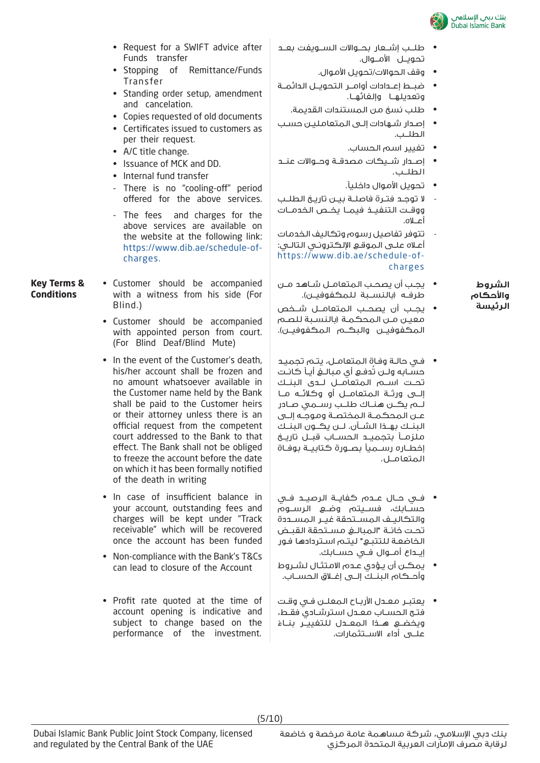

- Request for a SWIFT advice after Funds transfer
- Stopping of Remittance/Funds Transfer
- Standing order setup, amendment and cancelation.
- Copies requested of old documents
- Certificates issued to customers as per their request.
- A/C title change.
- Issuance of MCK and DD.
- Internal fund transfer
- There is no "cooling-off" period offered for the above services.
- The fees and charges for the above services are available on the website at the following link: https://www.dib.ae/schedule-ofcharges.
- **Key Terms & Conditions** • Customer should be accompanied with a witness from his side (For Blind.)
	- Customer should be accompanied with appointed person from court. (For Blind Deaf/Blind Mute)
	- In the event of the Customer's death, his/her account shall be frozen and no amount whatsoever available in the Customer name held by the Bank shall be paid to the Customer heirs or their attorney unless there is an official request from the competent court addressed to the Bank to that effect. The Bank shall not be obliged to freeze the account before the date on which it has been formally notified of the death in writing
	- In case of insufficient balance in your account, outstanding fees and charges will be kept under "Track receivable" which will be recovered once the account has been funded
	- Non-compliance with the Bank's T&Cs can lead to closure of the Account
	- Profit rate quoted at the time of account opening is indicative and subject to change based on the performance of the investment.
- طلــب إشــعار بحــوالات الســويفت بعــد تحويــل الأمــوال.
	- وقف الحوالات/تحويل الأموال.
- ضبــط إعــدادات أوامــر التحويــل الدائمــة وتعديلهــا وإلغائهــا.
	- طلب نسخ من المستندات القديمة.
- إصـدار شـهادات إلـى المتعامليـن حسـب الطلــب.
	- تغيير اسم الحساب.
- إصــدار شــيكات مصدقــة وحــوالات عنــد الطلــب.
	- تحويل الأموال داخلياً.
- لا توجــد فتــرة فاصلــة بيــن تاريــخ الطلــب ووقــت التنفيــذ فيمــا يخــص الخدمــات أعــلاه.
- تتوفر تفاصيل رسوم وتكاليف الخدمات أعـلاه علـى الموقـع الإلكترونـي التالـي: https://www.dib.ae/schedule-of charges
- **الشروط واحكام الرئيسة**
- يجـب أن يصحـب المتعامـل شـاهد مـن طرفــه (بالنســبة للمكفوفيــن).
- يجــب أن يصحــب المتعامــل شــخص معيـن مـن المحكمـة (بالنسـبة للصـم المكفوفيــن والبكــم المكفوفيــن).
- فـي حالـة وفـاة المتعامـل، يتـم تجميـد حســابه ولــن تُدفــع أي مبالــغ أيــاً كانــت تحــت اســم المتعامــل لــدى البنــك إلــى ورثــة المتعامــل أو وكلائــه مــا لــم يكــن هنــاك طلــب رســمي صــادر عــن المحكمــة المختصــة وموجــه إلــى البنــك بهــذا الشــأن. لــن يكــون البنــك ملزمــاً بتجميــد الحســاب قبــل تاريــخ إخطــاره رســمياً بصــورة كتابيــة بوفــاة المتعامــل.
- فــي حــال عــدم كفايــة الرصيــد فــي حســابك، فســيتم وضــع الرســوم والتكاليــف المســتحقة غيــر المســددة تحــت خانــة "المبالــغ مســتحقة القبــض الخاضعـة للتتبـع" ليتـم اسـتردادها فـور إيــداع أمــوال فــي حســابك.
- يمكـن أن يـؤدي عـدم الامتثـال لشـروط وأحــكام البنــك إلــى إغــلاق الحســاب.
- يعتبـر معـدل الأربـاح المعلـن فـي وقـت فتـح الحسـاب معـدل استرشـادي فقـط، ويخضــع هــذا الـمعــدل للـتغييـــر بنــاءً علــى أداء الاســتثمارات.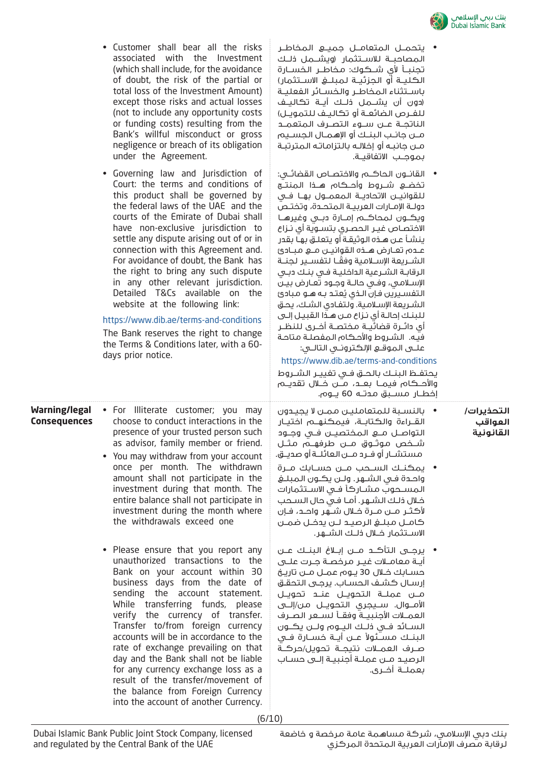

• يتحمــل المتعامــل جميــع المخاطــر

|                                             | associated with the Investment<br>(which shall include, for the avoidance<br>of doubt, the risk of the partial or<br>total loss of the Investment Amount)<br>except those risks and actual losses<br>(not to include any opportunity costs<br>or funding costs) resulting from the<br>Bank's willful misconduct or gross<br>negligence or breach of its obligation<br>under the Agreement.<br>• Governing law and Jurisdiction of                                                                                                                                                                                                                                                                                                                                                                                                                                                                                                                                      | المصاحبــة للاســتثمار (ويشـــمل ذلــك<br>تجنبــأ لأي شـــكـوك: مـخاطــر الـخســارة<br>الكليــة أو الجزئيــة لـمبلــــغ الاســـتثمار)<br>باسـتثناء المخاطـر والخسـائر الفعليـة<br>(دون أن يشـــمـل ذلــك أيــة تكـاليــف<br>للفـرص الضائعـة آو تكاليـف للتمويـل)<br>الناتجــة عـــن ســـوء الـتصــرف الـمتعمـــد<br>مـــن جانــب البنــك أو الإهمــال الـجســيم<br>مــن جانبــه أو إخلالــه بالـتزامـاتـه الـمـترتبــة<br>بموجب الاتفاقيـة.<br>•    القانــون الـحاكـــم والاختصــاص القضائـــى:                                                                                                                                                                                                                                                                                                                                                                                                                                                                                                                                                                    |                                    |
|---------------------------------------------|------------------------------------------------------------------------------------------------------------------------------------------------------------------------------------------------------------------------------------------------------------------------------------------------------------------------------------------------------------------------------------------------------------------------------------------------------------------------------------------------------------------------------------------------------------------------------------------------------------------------------------------------------------------------------------------------------------------------------------------------------------------------------------------------------------------------------------------------------------------------------------------------------------------------------------------------------------------------|---------------------------------------------------------------------------------------------------------------------------------------------------------------------------------------------------------------------------------------------------------------------------------------------------------------------------------------------------------------------------------------------------------------------------------------------------------------------------------------------------------------------------------------------------------------------------------------------------------------------------------------------------------------------------------------------------------------------------------------------------------------------------------------------------------------------------------------------------------------------------------------------------------------------------------------------------------------------------------------------------------------------------------------------------------------------|------------------------------------|
|                                             | Court: the terms and conditions of<br>this product shall be governed by<br>the federal laws of the UAE and the<br>courts of the Emirate of Dubai shall<br>have non-exclusive jurisdiction to<br>settle any dispute arising out of or in<br>connection with this Agreement and.<br>For avoidance of doubt, the Bank has<br>the right to bring any such dispute<br>in any other relevant jurisdiction.<br>Detailed T&Cs available on the<br>website at the following link:<br>https://www.dib.ae/terms-and-conditions<br>The Bank reserves the right to change<br>the Terms & Conditions later, with a 60-<br>days prior notice.                                                                                                                                                                                                                                                                                                                                         | تخضــع شـــروط وأحـــكام هـــذا الـمنتـــج<br>للقوانيـــن الاتحاديـــة الـمـعـمـــول بهـــا فـــى<br>دولـة الإمـارات العربيـة المتحـدة، وتختـص<br>ويكـــون لـمحاكـــم إمـــارة دبـــى وغيرهــا<br>الافتصاص غيـر الـمصـرى بتســوية أى نــزاع<br>ينشأ عن هذه الوثيقة أو يتعلـق بهـا بقدر<br>عـدم تعــارض هــذه القوانيــن مــع مـبـادئ<br>الشــريعة الإســلامية وفقــا لتفســير لـجنــة<br>الرقابـة الشـرعية الداخليـة فـى بنـك دبـى<br>الإسلامي، وفي حالــة وجــود تعــارض بيــن<br>التفسيرين فإن الـذي يُعتـد بـه هـو مبادئ<br>الشريعة الإسلامية. ولتفادى الشك، يحق<br>للبنك إحالـة أى نـزاع مـن هـذا القبيـل إلـى<br>أى دائــرة قضائيــة مــختصــة أخــرى لـلنظــر<br>فيه.  الشروط والأحكام المفصلة متاحة<br>https://www.dib.ae/terms-and-conditions<br>يحتفـظ البنـك بالحـق فـى تفييـر الشـروط<br>والأحــكـام فيمـــا بعـــد، مــّــن خـــلال تقديـــم<br>إخطــار مســـبق مــدتــه 60 پـــوم.                                                                                                                                                                     |                                    |
| <b>Warning/legal</b><br><b>Consequences</b> | • For Illiterate customer; you may<br>choose to conduct interactions in the<br>presence of your trusted person such<br>as advisor, family member or friend.<br>• You may withdraw from your account<br>once per month. The withdrawn<br>amount shall not participate in the<br>investment during that month. The<br>entire balance shall not participate in<br>investment during the month where<br>the withdrawals exceed one<br>• Please ensure that you report any<br>unauthorized transactions to the<br>Bank on your account within 30<br>business days from the date of<br>sending the account statement.<br>While transferring funds, please<br>verify the currency of transfer.<br>Transfer to/from foreign currency<br>accounts will be in accordance to the<br>rate of exchange prevailing on that<br>day and the Bank shall not be liable<br>for any currency exchange loss as a<br>result of the transfer/movement of<br>the balance from Foreign Currency | •     بالنسبة للمتعاملين ممـن لا يجيـدون<br>القــراءة والـكـتابــة، فيمـكـنـهــم اختيــار<br>التواصــل مـــــو الـمختصيــــن فـــى وجـــود<br>شــخص مـوثــوق مـــن طرفهــم مثــل<br>مستشـار أو فـرد مــن العائلــة أو صديــق.<br>•   يمكنـك الســحب مــن حســابك مــرة<br>واحدة في الشـهر. ولـن يكـون الـمبلـغ<br>المســحوب مشــاركاً فــى الاســتثمارات<br>خـلال ذلـك الشـهر. أمـا فـى حال السـحب<br>لأكثــر مــن مــرة خــلال شــهر واحــد، فـإن<br>كامــل مبلـــغ الرصيــد لــن يدخــل ضمــن<br>الاســتثمار ،ـلال ذلــك الشـــهر.<br>•   يرجــي التأكــد مــن إبــلاغ البنــك عــن<br>أيــة معامــلات غيــر مرخصــة جــرت علـــى<br>حسـابك خـلال 30 يــوم عمــل مــن تاريـخ<br>إرسال كشف الحساب. يرجى التحقق<br>مـــن عملـــة الـتحويــل عنـــد تحويــل<br>الأمـــوال. ســـيجري الـتحويـــل مــن/إلــــي<br>العمــلات الأجنبيــة وفقــأ لســعر الصــرف<br>الســائــد فـــى ذلـــك الـيـــوم ولــــن يــكـــون<br>البنــك مســئولاً عــن أيــة خســارة فــى<br>صـرف العمــلات نتيجــة تحويل/حركــة<br>الرصيد مــن عملــة أجنبيــة إلــى حســاب<br>بعملــة أخــرى. | التحذيرات/<br>العواقب<br>القانونية |

(6/10)

into the account of another Currency.

• Customer shall bear all the risks

بنك دبي الإسلامي، شركة مساهمة عامة مرخصة و خاضعة لرقابة مصرف الإمارات العربية المتحدة المركزي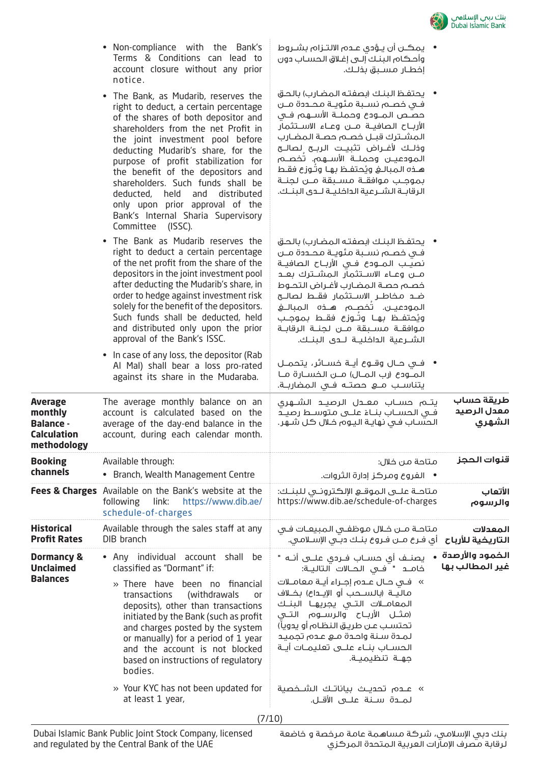

• يمكــن أن يــؤدي عــدم الالتــزام بشــروط وأحـكام البنـك إلـى إغـلاق الحسـاب دون

• يحتفـظ البنـك (بصفتـه المضـارب) بالحـق فــي خصــم نســبة مئويــة محــددة مــن حصــص المــودع وحملــة الأســهم فــي الأربــاح الصافيــة مــن وعــاء الاســتثمار المشــترك قبــل خصــم حصــة المضــارب وذلــك لأغــراض تثبيــت الربــح لصالــح المودعيــن وحملــة الأســهم. تُخصــم هـذه الـمبالــغ ويُحتفــظ بهـا وتــوزع فقــط بموجــب موافقــة مســبقة مــن لجنــة الرقابــة الشــرعية الداخليــة لــدى البنــك.

• يحتفـظ البنـك (بصفتـه المضـارب) بالحـق فــي خصــم نســبة مئويــة محــددة مــن نصيــب المــودع فــي الأربــاح الصافيــة مــن وعــاء الاســتثمار المشــترك بعــد خصــم حصـة الـمضـارب لأغـراض التحــوط ضــد مخاطــر الاســتثمار فقــط لصالــح المودعيــن. تُخصــم هــذه المبالــغ ويُحتفــظ بهــا وتــوزع فقـــط بمـوجــب موافقــة مســبقة مــن لجنــة الرقابــة الشــرعية الداخليــة لــدى البنــك.

• فــي حــال وقــوع أيــة خســائر، يتحمــل المــودع (رب المــال) مــن الخســارة مــا

إخطــار مسـبق بذلـك.

- Non-compliance with the Bank's Terms & Conditions can lead to account closure without any prior notice.
- The Bank, as Mudarib, reserves the right to deduct, a certain percentage of the shares of both depositor and shareholders from the net Profit in the joint investment pool before deducting Mudarib's share, for the purpose of profit stabilization for the benefit of the depositors and shareholders. Such funds shall be deducted, held and distributed only upon prior approval of the Bank's Internal Sharia Supervisory Committee (ISSC).
- The Bank as Mudarib reserves the right to deduct a certain percentage of the net profit from the share of the depositors in the joint investment pool after deducting the Mudarib's share, in order to hedge against investment risk solely for the benefit of the depositors. Such funds shall be deducted, held and distributed only upon the prior approval of the Bank's ISSC.
- In case of any loss, the depositor (Rab Al Mal) shall bear a loss pro-rated against its share in the Mudaraba.

|                                                                                    |                                                                                                                                                                                                                                                                                                                                                                                                                                                                | يتناســب مـــــــــــو حصتـــه فـــى الـمضاربـــة.                                                                                                                                                                                                                                                                                                                                                                                                     |                                       |
|------------------------------------------------------------------------------------|----------------------------------------------------------------------------------------------------------------------------------------------------------------------------------------------------------------------------------------------------------------------------------------------------------------------------------------------------------------------------------------------------------------------------------------------------------------|--------------------------------------------------------------------------------------------------------------------------------------------------------------------------------------------------------------------------------------------------------------------------------------------------------------------------------------------------------------------------------------------------------------------------------------------------------|---------------------------------------|
| <b>Average</b><br>monthly<br><b>Balance -</b><br><b>Calculation</b><br>methodology | The average monthly balance on an<br>account is calculated based on the<br>average of the day-end balance in the<br>account, during each calendar month.                                                                                                                                                                                                                                                                                                       | يتــم حســاب معــدل الرصيــد الشــهري<br>فـي الحســاب بنــاءُ علــي متوســط رصيــدُ<br>الحسّاب في نهايـة اليـوم خـلال كـل شـهر.                                                                                                                                                                                                                                                                                                                        | طريقة حساب<br>معدل الرصيد<br>الشهري   |
| <b>Booking</b><br>channels                                                         | Available through:<br>• Branch, Wealth Management Centre                                                                                                                                                                                                                                                                                                                                                                                                       | متاحة من خلال:<br>•    الفروع ومركز إدارة الثروات.                                                                                                                                                                                                                                                                                                                                                                                                     | قنوات الحجز                           |
|                                                                                    | Fees & Charges Available on the Bank's website at the<br>following link:<br>https://www.dib.ae/<br>schedule-of-charges                                                                                                                                                                                                                                                                                                                                         | متاحــة علـــى الـموقـــع الإلـكـترونــي لـلبنــك:<br>https://www.dib.ae/schedule-of-charges                                                                                                                                                                                                                                                                                                                                                           | الأتعاب<br>والرسوم                    |
| <b>Historical</b><br><b>Profit Rates</b>                                           | Available through the sales staff at any<br>DIB branch                                                                                                                                                                                                                                                                                                                                                                                                         | متاحـة مــن خــلال مـوظفــي الـمبيعــات فــى<br>أى فـرع مــن فـروع بنــك دبــُى الإســلامـى.                                                                                                                                                                                                                                                                                                                                                           | المعدلات<br>التاريخية للأرباح         |
| <b>Dormancy &amp;</b><br><b>Unclaimed</b><br><b>Balances</b>                       | • Any individual account shall<br>be<br>classified as "Dormant" if:<br>» There have<br>been no financial<br>(withdrawals<br>transactions<br><b>or</b><br>deposits), other than transactions<br>initiated by the Bank (such as profit<br>and charges posted by the system<br>or manually) for a period of 1 year<br>and the account is not blocked<br>based on instructions of regulatory<br>bodies.<br>» Your KYC has not been updated for<br>at least 1 year, | يصنــف أي حســاب فــردي علـــي أنــه "<br>خامــد " فــى الحــالات التاليــة:<br>»  فـي حـال عـده إجـراء أيــة معامــلات<br>ماليــة (بالســحب أو الإيــداع) بخــلاف<br>المعامــلات التــى يجريهـا البنـك<br>(مثــل الأربــاح والـرســـوم التـــى<br>تحتسب عن طريق النظام آو يدوياً)<br>لمدة سنة واحدة مـع عدم تجميد<br>الحســاب بنــاء علـــى تعليمــات أيــة<br>جهــة تنظيميــة.<br>» عــدم تحديــث بياناتــك الشــخصية<br>لمــدة ســنة علــى الأقــل. | الخمود والأرصدة  •<br>غير المطالب بها |
|                                                                                    |                                                                                                                                                                                                                                                                                                                                                                                                                                                                |                                                                                                                                                                                                                                                                                                                                                                                                                                                        |                                       |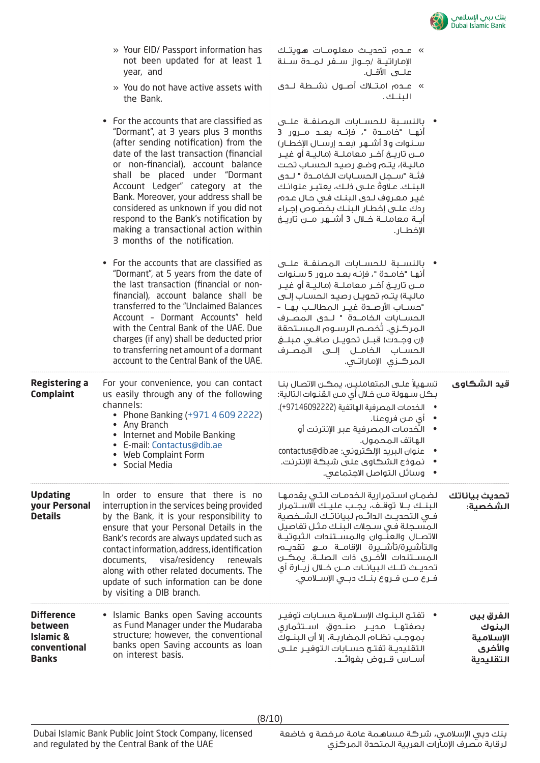

» عــدم تحديــث معلومــات هويتــك الإماراتيــة /جــواز ســفر لمــدة ســنة

» عــدم امتــلاك أصــول نشــطة لــدى

• بالنســبة للحســابات المصنفــة علــى أنهــا "خامــدة "، فإنــه بعــد مــرور 3 ســنوات و3 أشــهر (بعــد إرســال الإخطــار) مــن تاريــخ آخــر معاملــة (ماليــة أو غيــر ماليـة)، يتـم وضـع رصيـد الحسـاب تحـت فئــة "ســجل الحســابات الخامــدة " لــدى ً البنـك. عـلاوة علـى ذلـك، يعتبـر عنوانـك غيـر معـروف لـدى البنـك فـي حـال عـدم ردك علـى إخطـار البنـك بخصـوص إجـراء أيــة معاملــة خــلال 3 أشــهر مــن تاريــخ

• بالنســبة للحســابات المصنفــة علــى أنهـا "خامـدة "، فإنـه بعـد مرور 5 سـنوات مــن تاريــخ آخــر معاملــة (ماليــة أو غيــر ماليـة) يتـم تحويـل رصيـد الحسـاب إلـى "حســاب الأرصــدة غيــر المطالــب بهــا – الحســابات الخامــدة " لــدى المصــرف المركـزي. تُخصـم الرسـوم المسـتحقة (إن وجــدت) قبــل تحويــل صافــي مبلــغ الحســاب الخامــل إلــى المصــرف

المركــزي الإماراتــي.

علــى الأقــل.

البنــك.

الإخطــار.

- » Your EID/ Passport information has not been updated for at least 1 year, and
- » You do not have active assets with the Bank.
- For the accounts that are classified as "Dormant", at 3 years plus 3 months (after sending notification) from the date of the last transaction (financial or non-financial), account balance shall be placed under "Dormant Account Ledger" category at the Bank. Moreover, your address shall be considered as unknown if you did not respond to the Bank's notification by making a transactional action within 3 months of the notification.
- For the accounts that are classified as "Dormant", at 5 years from the date of the last transaction (financial or nonfinancial), account balance shall be transferred to the "Unclaimed Balances Account – Dormant Accounts" held with the Central Bank of the UAE. Due charges (if any) shall be deducted prior to transferring net amount of a dormant account to the Central Bank of the UAE.

| <b>Registering a</b><br><b>Complaint</b>                                      | For your convenience, you can contact<br>us easily through any of the following<br>channels:<br>• Phone Banking (+971 4 609 2222)<br>Any Branch<br>• Internet and Mobile Banking<br>• E-mail: Contactus@dib.ae<br>• Web Complaint Form<br>• Social Media                                                                                                                                                                         | تسهيلاً علـى المتعامليـن، يمكـن الاتصـال بنـا<br>بـكل سـهولة مـن خـلال أى مـن القنـوات الـتالية:<br>• الخدمات المصرفية الهاتفية (97146092222-).<br>•    أي من فروعنا.<br>الـخدمـات الـمـصـرفية عبـر الإنترنت أو<br>الهاتف المحمول.<br>عنوان البريد الإلكتروني: contactus@dib.ae<br>نموذج الشكاوي على شبكة الإنترنت.<br>• وسائل التواصل الاجتماعى.                                                                                                               | قيد الشكاوى                                              |
|-------------------------------------------------------------------------------|----------------------------------------------------------------------------------------------------------------------------------------------------------------------------------------------------------------------------------------------------------------------------------------------------------------------------------------------------------------------------------------------------------------------------------|-----------------------------------------------------------------------------------------------------------------------------------------------------------------------------------------------------------------------------------------------------------------------------------------------------------------------------------------------------------------------------------------------------------------------------------------------------------------|----------------------------------------------------------|
| <b>Updating</b><br>your Personal<br><b>Details</b>                            | In order to ensure that there is no<br>interruption in the services being provided<br>by the Bank, it is your responsibility to<br>ensure that your Personal Details in the<br>Bank's records are always updated such as<br>contact information, address, identification<br>documents, visa/residency renewals<br>along with other related documents. The<br>update of such information can be done<br>by visiting a DIB branch. | <b>تحديث بياناتك لل</b> ضمـان اسـتمرارية الــــخدمــات الـتــى يقدمهـا<br>البنــك بــلا توقــف، يجــب عليــك الاســتمرار<br>فـى التحديـث الدائــم لبياناتـك الشــخصية<br>المسجلة فى سجلات البنك مثل تفاصيل<br>الاتصــال والـعـنّــوان والـمســتنــدات الـثبـوتيــة<br>والتأشيرة/تأشــيرة الإقامــة مـــع تقديـــم<br>المســتندات الأخــري ذات الصلــة. يمكــن<br>تحديــث تلــك البيانــات مـــن خـــلال زيـــارة أي<br>فـرع مــن فـروع بنــك دبــى الإســلامـى. | الشخصية:                                                 |
| Difference<br>between<br><b>Islamic &amp;</b><br>conventional<br><b>Banks</b> | • Islamic Banks open Saving accounts<br>as Fund Manager under the Mudaraba<br>structure; however, the conventional<br>banks open Saving accounts as loan<br>on interest basis.                                                                                                                                                                                                                                                   | •     تفتــح الـبنــوك الإســلامـية حســابات توفيـر<br>بصفتهـا مـديــر صنـــدوق اســتثماري<br>بموجب نظام المضاربـة، إلا أن البنــوك<br>التقليدية تفتح حسابات التوفير علـى<br>أســـاس قـــروض بفوائـــد.                                                                                                                                                                                                                                                         | الفرق بين<br>البنوك<br>الإسلامية<br>والأخرى<br>التقليدية |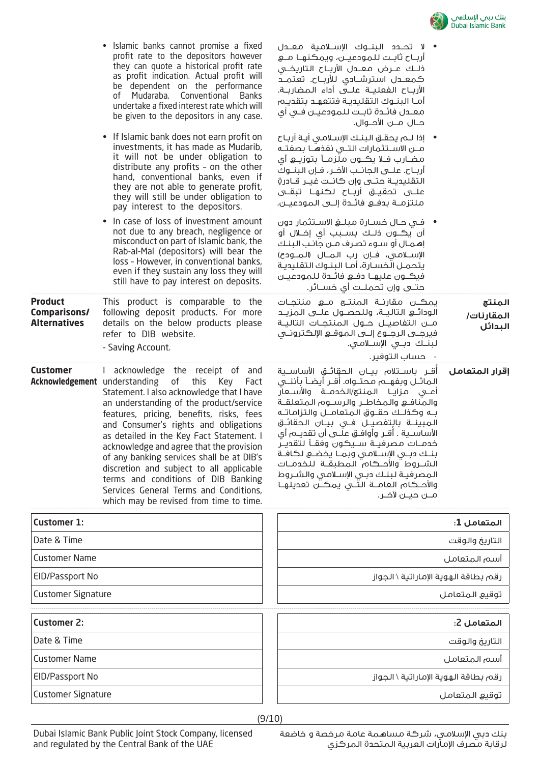

|                                                         | • Islamic banks cannot promise a fixed<br>profit rate to the depositors however<br>they can quote a historical profit rate<br>as profit indication. Actual profit will<br>be dependent on the performance<br>of Mudaraba. Conventional Banks<br>undertake a fixed interest rate which will<br>be given to the depositors in any case.<br>If Islamic bank does not earn profit on<br>$\bullet$<br>investments, it has made as Mudarib,<br>it will not be under obligation to<br>distribute any profits - on the other<br>hand, conventional banks, even if<br>they are not able to generate profit,<br>they will still be under obligation to<br>pay interest to the depositors.<br>In case of loss of investment amount<br>$\bullet$<br>not due to any breach, negligence or<br>misconduct on part of Islamic bank, the<br>Rab-al-Mal (depositors) will bear the<br>loss - However, in conventional banks,<br>even if they sustain any loss they will<br>still have to pay interest on deposits. | • لا تحــدد الـبنـــوك الإســـلامـية معــدل<br>أربـاح ثابـت للمودعيـن، ويمكنهـا مــع<br>ذلـك عـــرض معـــدل الأربــاح التاريخــى<br>كمعــدل استرشــادى للأربــاح. تعتمـــد<br>الأربــاح الـفعلـيــة عـلـــى أداء الـمضاربــة.<br>أمـا البنـوك التقليديـة فتتعهـد بتقديـم<br>معـدل فائـدة ثابـت للمودعيـن فـى أى<br>حــال مـــن الأحــوال.<br>•    إذا لـــم يحقـــق الـبـنــك الإســـلامــى أيــة أربــاح<br>مـــن الاســـتثمارات الـتـــى نفذهـــا بـصفتــه<br>مضـارب فـلا يڪــون مـلزمــأ بـتوزيــــو أي<br>أرباح. علـــى الـجانــب الأخــر، فــإن الـبنــوك<br>التقليديــة حتــى وإن كانــت غيــر قــادرةٍ<br>علـــى تحقيـــق أربـــاح لـكـنـهـــا تبقـــى<br>ملتزمـــة بـدفـــع فائـــدة إلــــى الـمـودعيـــن.<br>•    فــى حــال خســارة مـبـلـــفي الاســـتثمار دون<br>أن يڪــون ذلــك بـســبب أي إخــلال أو<br>إهمـال أو سـوء تصرف مـن جانـب البنـك<br>الإسلامي، فإن رب المـال (المـودع)<br>يتحمـل الخسـارة، أمـا البنـوك التقليدية<br>فيكــون عليهــا دفــع فائــدة للـمودعيــن<br>حتـــى وإن تحمـلــت أي خســـائر. |                                 |
|---------------------------------------------------------|--------------------------------------------------------------------------------------------------------------------------------------------------------------------------------------------------------------------------------------------------------------------------------------------------------------------------------------------------------------------------------------------------------------------------------------------------------------------------------------------------------------------------------------------------------------------------------------------------------------------------------------------------------------------------------------------------------------------------------------------------------------------------------------------------------------------------------------------------------------------------------------------------------------------------------------------------------------------------------------------------|------------------------------------------------------------------------------------------------------------------------------------------------------------------------------------------------------------------------------------------------------------------------------------------------------------------------------------------------------------------------------------------------------------------------------------------------------------------------------------------------------------------------------------------------------------------------------------------------------------------------------------------------------------------------------------------------------------------------------------------------------------------------------------------------------------------------------------------------------------------------------------------------------------------------------------------------------------------------------------------------------------------------------|---------------------------------|
| <b>Product</b><br>Comparisons/<br><b>Alternatives</b>   | This product is comparable to the<br>following deposit products. For more<br>details on the below products please<br>refer to DIB website.<br>- Saving Account.                                                                                                                                                                                                                                                                                                                                                                                                                                                                                                                                                                                                                                                                                                                                                                                                                                  | يمڪـن مقارنــة الـمنتــع مـــع منتجــات<br>مـــن التفاصيـــل حـــول الـمنتجــات التاليــة<br>فيرجـــى الرجـــوع إلــــى الــمـوقـــــــــــو الإلـكـترونـــــى<br>لبنــك دبــى الإســلامـى.<br>حساب التوفير.                                                                                                                                                                                                                                                                                                                                                                                                                                                                                                                                                                                                                                                                                                                                                                                                                 | المنتج<br>المقارنات/<br>البدائل |
| <b>Customer</b><br><b>Acknowledgement</b> understanding | I acknowledge the receipt of and<br>of<br>this<br>Key<br>Fact<br>Statement. I also acknowledge that I have<br>an understanding of the product/service<br>features, pricing, benefits, risks, fees<br>and Consumer's rights and obligations<br>as detailed in the Key Fact Statement. I<br>acknowledge and agree that the provision<br>of any banking services shall be at DIB's<br>discretion and subject to all applicable<br>terms and conditions of DIB Banking<br>Services General Terms and Conditions,<br>which may be revised from time to time.                                                                                                                                                                                                                                                                                                                                                                                                                                          | أقــر باســتلام بيــان الـحقائــق الأساســية<br>الماثـــل وبفهـــم مــحتـــواه. أقـــر أيضــأ بأننـــى<br>أعـــى مـزايــا الـمـنـتج/الـخــدمـــة والأســـعار<br>والمنافـع والمخاطـر والرسـوم المتعلقـة<br>بـه وكذلـك حقــوق الـمتعامــل والـتزامـاتــه<br>المبينــة بالتفصيــل فــى بيــان الحقائــق<br>الأساســــية . أقـــر وأوافـــق عـلــــي أن تقـــويـــم أي<br>خدمــات مـصرفيــة ســيـكـون وفقــأ لـتقديــر<br>بنك دبى الإسلامى وبما يخضع لكافة<br>الشـــروط أوالأحـــكـام الـمطبقــة اللـخدمــات<br>المصرفية لبنك دبى الإسلامى والشروط<br>والأحــكـام الـعامـــة الـتـــى يمـكــــن تعديلهــا<br>مـــن حيـــن لآخــر.                                                                                                                                                                                                                                                                                                                                                                                                | اقرار المتعامل                  |
| <b>Customer 1:</b>                                      |                                                                                                                                                                                                                                                                                                                                                                                                                                                                                                                                                                                                                                                                                                                                                                                                                                                                                                                                                                                                  |                                                                                                                                                                                                                                                                                                                                                                                                                                                                                                                                                                                                                                                                                                                                                                                                                                                                                                                                                                                                                              | المتعامل 1:                     |
| Date & Time                                             |                                                                                                                                                                                                                                                                                                                                                                                                                                                                                                                                                                                                                                                                                                                                                                                                                                                                                                                                                                                                  |                                                                                                                                                                                                                                                                                                                                                                                                                                                                                                                                                                                                                                                                                                                                                                                                                                                                                                                                                                                                                              | التاريخ والوقت                  |
| <b>Customer Name</b>                                    |                                                                                                                                                                                                                                                                                                                                                                                                                                                                                                                                                                                                                                                                                                                                                                                                                                                                                                                                                                                                  |                                                                                                                                                                                                                                                                                                                                                                                                                                                                                                                                                                                                                                                                                                                                                                                                                                                                                                                                                                                                                              | أسم المتعامل                    |
| EID/Passport No                                         |                                                                                                                                                                                                                                                                                                                                                                                                                                                                                                                                                                                                                                                                                                                                                                                                                                                                                                                                                                                                  | رقم بطاقة الهوية الإماراتية \ الجواز                                                                                                                                                                                                                                                                                                                                                                                                                                                                                                                                                                                                                                                                                                                                                                                                                                                                                                                                                                                         |                                 |
| <b>Customer Signature</b>                               |                                                                                                                                                                                                                                                                                                                                                                                                                                                                                                                                                                                                                                                                                                                                                                                                                                                                                                                                                                                                  |                                                                                                                                                                                                                                                                                                                                                                                                                                                                                                                                                                                                                                                                                                                                                                                                                                                                                                                                                                                                                              | توقيع المتعامل                  |
| <b>Customer 2:</b>                                      |                                                                                                                                                                                                                                                                                                                                                                                                                                                                                                                                                                                                                                                                                                                                                                                                                                                                                                                                                                                                  |                                                                                                                                                                                                                                                                                                                                                                                                                                                                                                                                                                                                                                                                                                                                                                                                                                                                                                                                                                                                                              | المتعامل 2:                     |
| Date & Time                                             |                                                                                                                                                                                                                                                                                                                                                                                                                                                                                                                                                                                                                                                                                                                                                                                                                                                                                                                                                                                                  |                                                                                                                                                                                                                                                                                                                                                                                                                                                                                                                                                                                                                                                                                                                                                                                                                                                                                                                                                                                                                              | التاريخ والوقت                  |
| <b>Customer Name</b>                                    |                                                                                                                                                                                                                                                                                                                                                                                                                                                                                                                                                                                                                                                                                                                                                                                                                                                                                                                                                                                                  |                                                                                                                                                                                                                                                                                                                                                                                                                                                                                                                                                                                                                                                                                                                                                                                                                                                                                                                                                                                                                              | أسم المتعامل                    |
| EID/Passport No                                         |                                                                                                                                                                                                                                                                                                                                                                                                                                                                                                                                                                                                                                                                                                                                                                                                                                                                                                                                                                                                  | رقم بطاقة الهوية الإماراتية \ الجواز                                                                                                                                                                                                                                                                                                                                                                                                                                                                                                                                                                                                                                                                                                                                                                                                                                                                                                                                                                                         |                                 |
| <b>Customer Signature</b>                               |                                                                                                                                                                                                                                                                                                                                                                                                                                                                                                                                                                                                                                                                                                                                                                                                                                                                                                                                                                                                  |                                                                                                                                                                                                                                                                                                                                                                                                                                                                                                                                                                                                                                                                                                                                                                                                                                                                                                                                                                                                                              | توقيع المتعامل                  |
|                                                         |                                                                                                                                                                                                                                                                                                                                                                                                                                                                                                                                                                                                                                                                                                                                                                                                                                                                                                                                                                                                  | (9/10)                                                                                                                                                                                                                                                                                                                                                                                                                                                                                                                                                                                                                                                                                                                                                                                                                                                                                                                                                                                                                       |                                 |

بنك دبي الإسلامي، شركة مساهمة عامة مرخصة و خاضعة